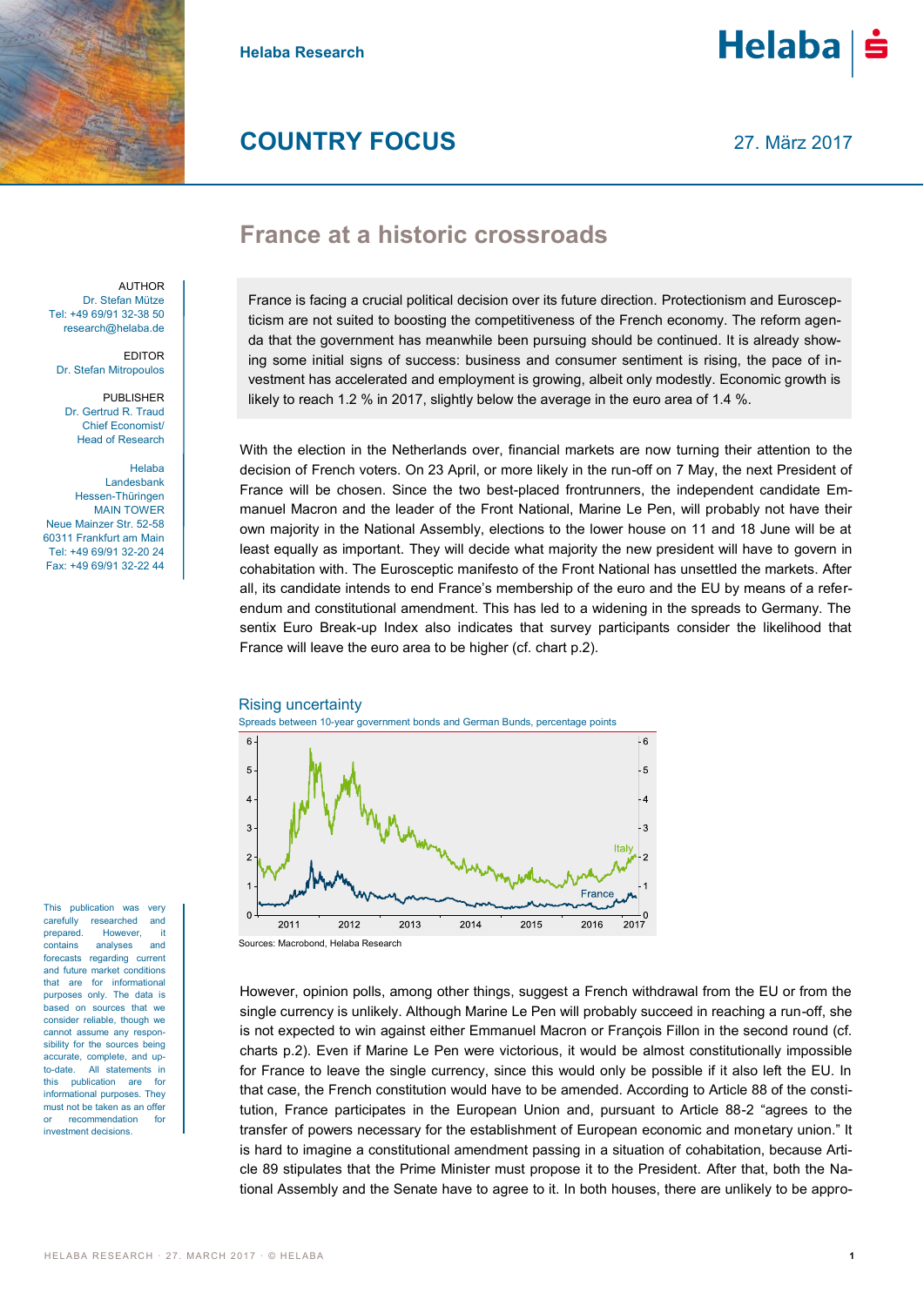

**Helaba Research**



# **COUNTRY FOCUS**

27. März 2017

# **France at a historic crossroads**

AUTHOR Dr. Stefan Mütze Tel: +49 69/91 32-38 50 research@helaba.de

EDITOR Dr. Stefan Mitropoulos

PUBLISHER Dr. Gertrud R. Traud Chief Economist/ Head of Research

Helaba Landesbank Hessen-Thüringen MAIN TOWER Neue Mainzer Str. 52-58 60311 Frankfurt am Main Tel: +49 69/91 32-20 24 Fax: +49 69/91 32-22 44

This publication was very carefully researched and prepared. However, it contains analyses and forecasts regarding current and future market conditions that are for informational purposes only. The data is based on sources that we consider reliable, though we cannot assume any responsibility for the sources being accurate, complete, and upto-date. All statements in this publication are for informational purposes. They must not be taken as an offer or recommendation for investment decisions.

France is facing a crucial political decision over its future direction. Protectionism and Euroscepticism are not suited to boosting the competitiveness of the French economy. The reform agenda that the government has meanwhile been pursuing should be continued. It is already showing some initial signs of success: business and consumer sentiment is rising, the pace of investment has accelerated and employment is growing, albeit only modestly. Economic growth is likely to reach 1.2 % in 2017, slightly below the average in the euro area of 1.4 %.

With the election in the Netherlands over, financial markets are now turning their attention to the decision of French voters. On 23 April, or more likely in the run-off on 7 May, the next President of France will be chosen. Since the two best-placed frontrunners, the independent candidate Emmanuel Macron and the leader of the Front National, Marine Le Pen, will probably not have their own majority in the National Assembly, elections to the lower house on 11 and 18 June will be at least equally as important. They will decide what majority the new president will have to govern in cohabitation with. The Eurosceptic manifesto of the Front National has unsettled the markets. After all, its candidate intends to end France's membership of the euro and the EU by means of a referendum and constitutional amendment. This has led to a widening in the spreads to Germany. The sentix Euro Break-up Index also indicates that survey participants consider the likelihood that France will leave the euro area to be higher (cf. chart p.2).

### Rising uncertainty





However, opinion polls, among other things, suggest a French withdrawal from the EU or from the single currency is unlikely. Although Marine Le Pen will probably succeed in reaching a run-off, she is not expected to win against either Emmanuel Macron or François Fillon in the second round (cf. charts p.2). Even if Marine Le Pen were victorious, it would be almost constitutionally impossible for France to leave the single currency, since this would only be possible if it also left the EU. In that case, the French constitution would have to be amended. According to Article 88 of the constitution, France participates in the European Union and, pursuant to Article 88-2 "agrees to the transfer of powers necessary for the establishment of European economic and monetary union." It is hard to imagine a constitutional amendment passing in a situation of cohabitation, because Article 89 stipulates that the Prime Minister must propose it to the President. After that, both the National Assembly and the Senate have to agree to it. In both houses, there are unlikely to be appro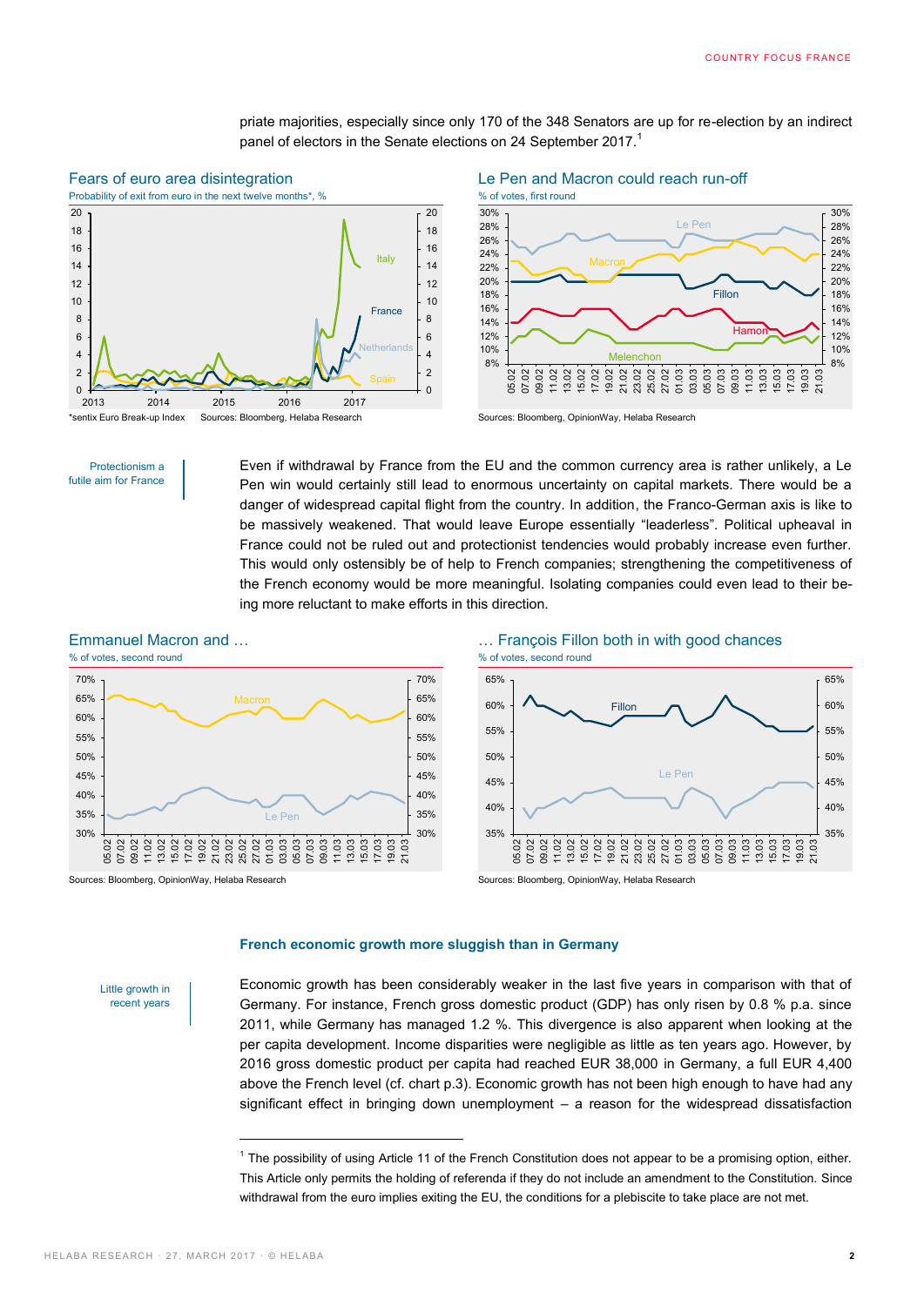priate majorities, especially since only 170 of the 348 Senators are up for re-election by an indirect panel of electors in the Senate elections on 24 September 2017.<sup>1</sup>

## Fears of euro area disintegration Le Pen and Macron could reach run-off





Even if withdrawal by France from the EU and the common currency area is rather unlikely, a Le Pen win would certainly still lead to enormous uncertainty on capital markets. There would be a danger of widespread capital flight from the country. In addition, the Franco-German axis is like to be massively weakened. That would leave Europe essentially "leaderless". Political upheaval in France could not be ruled out and protectionist tendencies would probably increase even further. This would only ostensibly be of help to French companies; strengthening the competitiveness of the French economy would be more meaningful. Isolating companies could even lead to their being more reluctant to make efforts in this direction.





#### **French economic growth more sluggish than in Germany**

Little growth in recent years

Economic growth has been considerably weaker in the last five years in comparison with that of Germany. For instance, French gross domestic product (GDP) has only risen by 0.8 % p.a. since 2011, while Germany has managed 1.2 %. This divergence is also apparent when looking at the per capita development. Income disparities were negligible as little as ten years ago. However, by 2016 gross domestic product per capita had reached EUR 38,000 in Germany, a full EUR 4,400 above the French level (cf. chart p.3). Economic growth has not been high enough to have had any significant effect in bringing down unemployment – a reason for the widespread dissatisfaction

-

Protectionism a futile aim for France

<sup>&</sup>lt;sup>1</sup> The possibility of using Article 11 of the French Constitution does not appear to be a promising option, either. This Article only permits the holding of referenda if they do not include an amendment to the Constitution. Since withdrawal from the euro implies exiting the EU, the conditions for a plebiscite to take place are not met.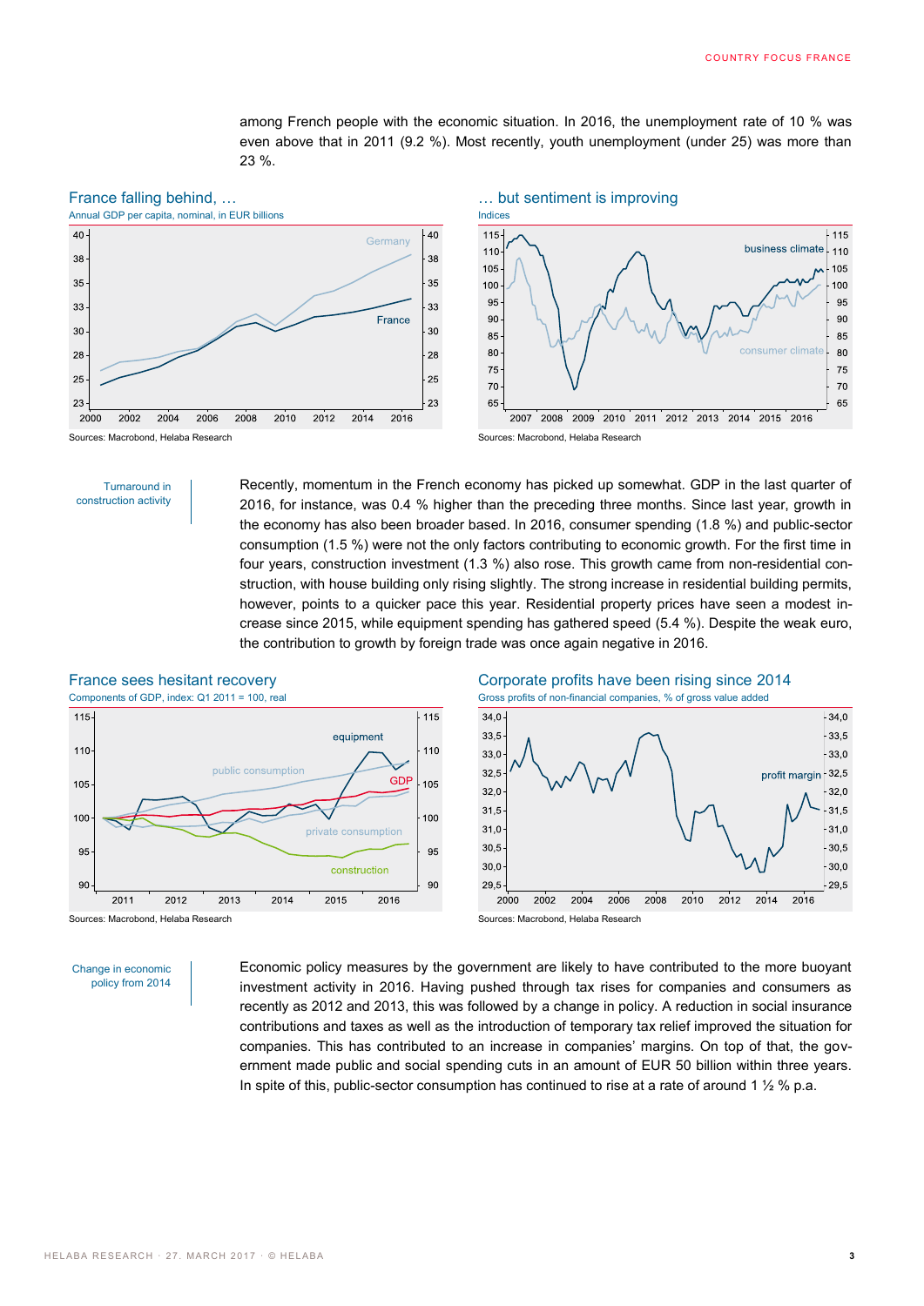among French people with the economic situation. In 2016, the unemployment rate of 10 % was even above that in 2011 (9.2 %). Most recently, youth unemployment (under 25) was more than 23 %.







Recently, momentum in the French economy has picked up somewhat. GDP in the last quarter of 2016, for instance, was 0.4 % higher than the preceding three months. Since last year, growth in the economy has also been broader based. In 2016, consumer spending (1.8 %) and public-sector consumption (1.5 %) were not the only factors contributing to economic growth. For the first time in four years, construction investment (1.3 %) also rose. This growth came from non-residential construction, with house building only rising slightly. The strong increase in residential building permits, however, points to a quicker pace this year. Residential property prices have seen a modest increase since 2015, while equipment spending has gathered speed (5.4 %). Despite the weak euro, the contribution to growth by foreign trade was once again negative in 2016.







Change in economic policy from 2014 Economic policy measures by the government are likely to have contributed to the more buoyant investment activity in 2016. Having pushed through tax rises for companies and consumers as recently as 2012 and 2013, this was followed by a change in policy. A reduction in social insurance contributions and taxes as well as the introduction of temporary tax relief improved the situation for companies. This has contributed to an increase in companies' margins. On top of that, the government made public and social spending cuts in an amount of EUR 50 billion within three years. In spite of this, public-sector consumption has continued to rise at a rate of around 1  $\frac{1}{2}$  % p.a.

Turnaround in construction activity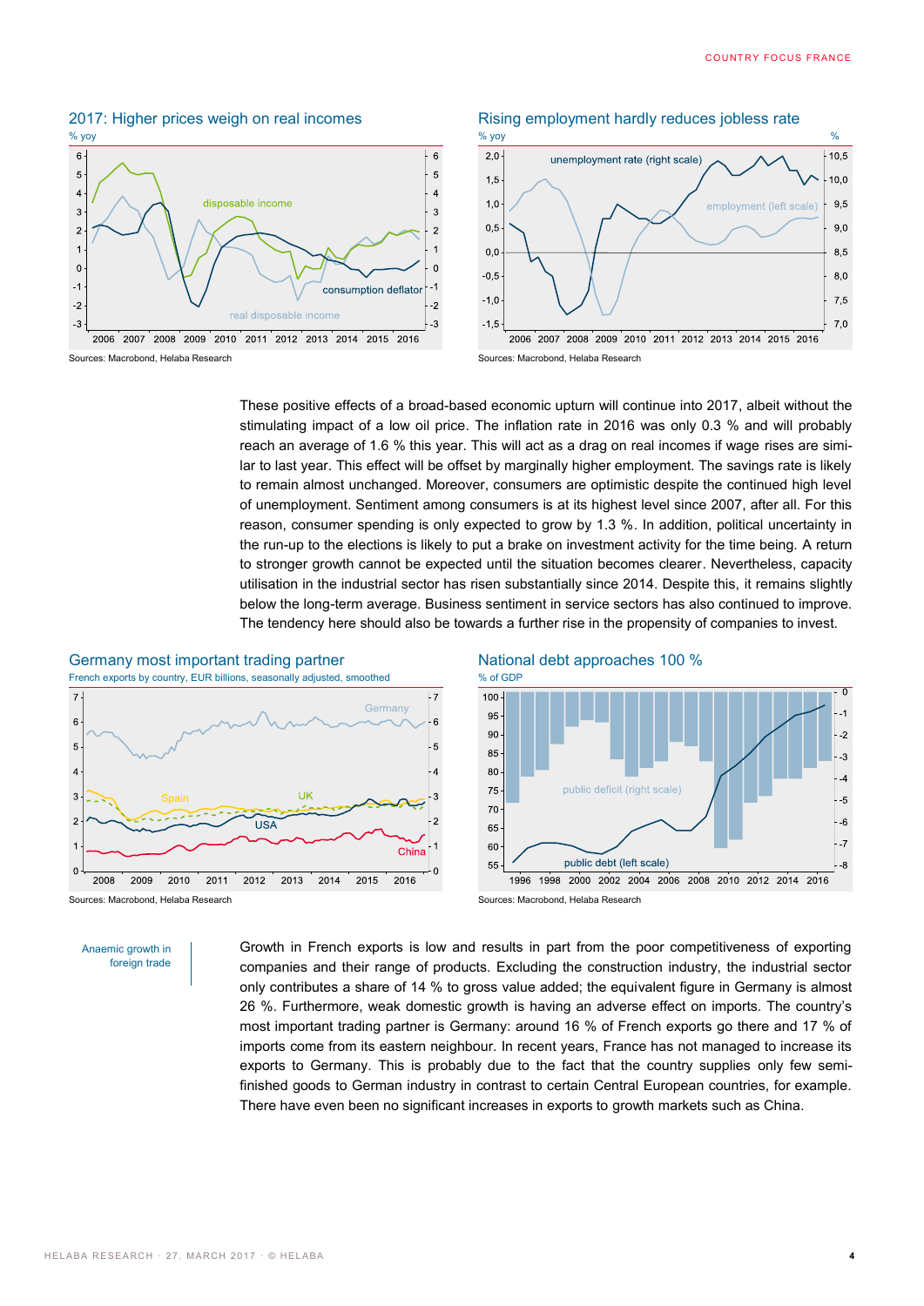

#### 2017: Higher prices weigh on real incomes Rising employment hardly reduces jobless rate



These positive effects of a broad-based economic upturn will continue into 2017, albeit without the stimulating impact of a low oil price. The inflation rate in 2016 was only 0.3 % and will probably reach an average of 1.6 % this year. This will act as a drag on real incomes if wage rises are similar to last year. This effect will be offset by marginally higher employment. The savings rate is likely to remain almost unchanged. Moreover, consumers are optimistic despite the continued high level of unemployment. Sentiment among consumers is at its highest level since 2007, after all. For this reason, consumer spending is only expected to grow by 1.3 %. In addition, political uncertainty in the run-up to the elections is likely to put a brake on investment activity for the time being. A return to stronger growth cannot be expected until the situation becomes clearer. Nevertheless, capacity utilisation in the industrial sector has risen substantially since 2014. Despite this, it remains slightly below the long-term average. Business sentiment in service sectors has also continued to improve. The tendency here should also be towards a further rise in the propensity of companies to invest.





Sources: Macrobond, Helaba Research Sources: Macrobond, Helaba Research

Anaemic growth in foreign trade Growth in French exports is low and results in part from the poor competitiveness of exporting companies and their range of products. Excluding the construction industry, the industrial sector only contributes a share of 14 % to gross value added; the equivalent figure in Germany is almost 26 %. Furthermore, weak domestic growth is having an adverse effect on imports. The country's most important trading partner is Germany: around 16 % of French exports go there and 17 % of imports come from its eastern neighbour. In recent years, France has not managed to increase its exports to Germany. This is probably due to the fact that the country supplies only few semifinished goods to German industry in contrast to certain Central European countries, for example. There have even been no significant increases in exports to growth markets such as China.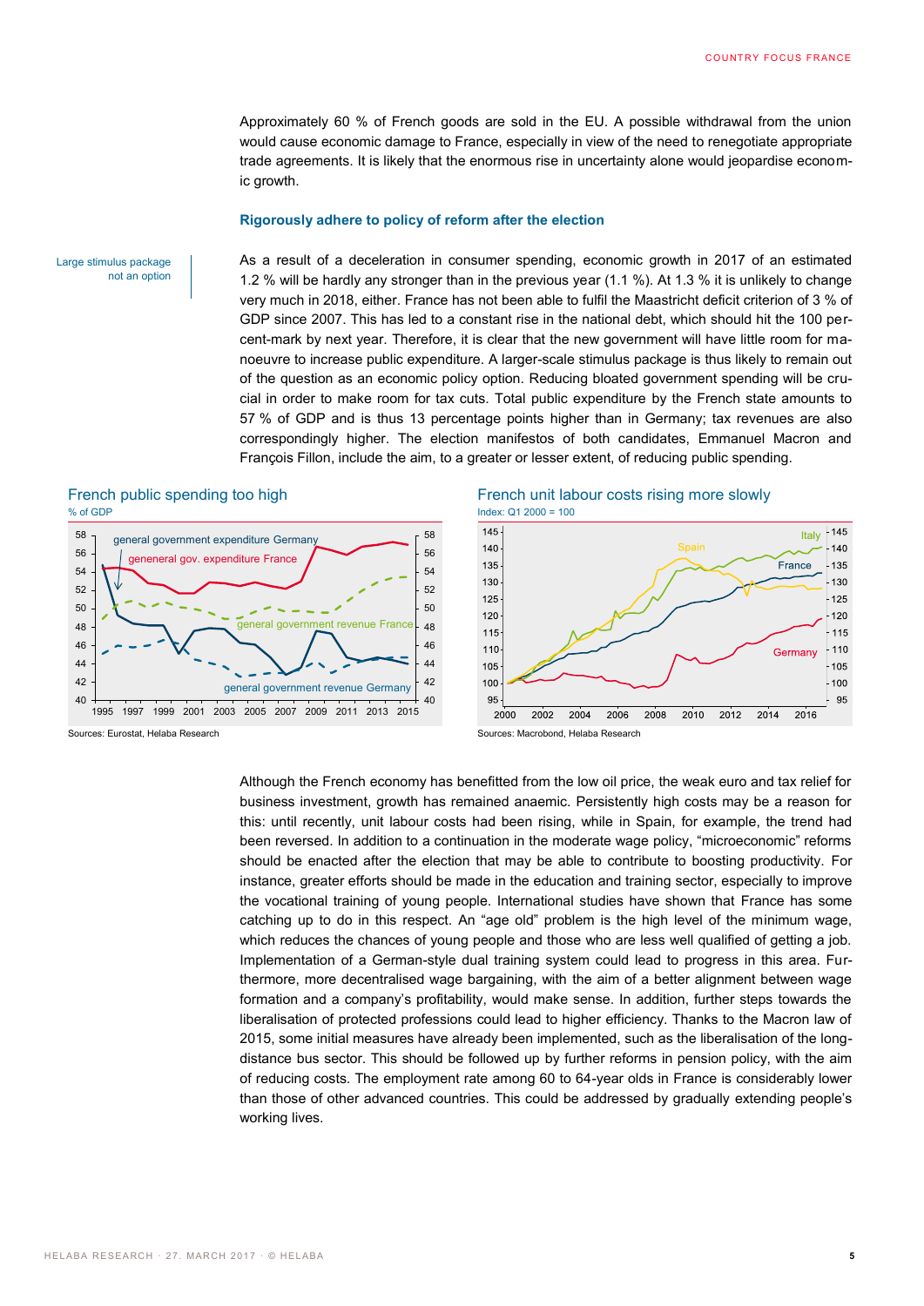Approximately 60 % of French goods are sold in the EU. A possible withdrawal from the union would cause economic damage to France, especially in view of the need to renegotiate appropriate trade agreements. It is likely that the enormous rise in uncertainty alone would jeopardise economic growth.

#### **Rigorously adhere to policy of reform after the election**

Large stimulus package not an option As a result of a deceleration in consumer spending, economic growth in 2017 of an estimated 1.2 % will be hardly any stronger than in the previous year (1.1 %). At 1.3 % it is unlikely to change very much in 2018, either. France has not been able to fulfil the Maastricht deficit criterion of 3 % of GDP since 2007. This has led to a constant rise in the national debt, which should hit the 100 percent-mark by next year. Therefore, it is clear that the new government will have little room for manoeuvre to increase public expenditure. A larger-scale stimulus package is thus likely to remain out of the question as an economic policy option. Reducing bloated government spending will be crucial in order to make room for tax cuts. Total public expenditure by the French state amounts to 57 % of GDP and is thus 13 percentage points higher than in Germany; tax revenues are also correspondingly higher. The election manifestos of both candidates, Emmanuel Macron and François Fillon, include the aim, to a greater or lesser extent, of reducing public spending.

# % of GDP Index: Q1 2000 = 100



# French public spending too high French unit labour costs rising more slowly



Sources: Eurostat, Helaba Research Sources: Macrobond, Helaba Research

Although the French economy has benefitted from the low oil price, the weak euro and tax relief for business investment, growth has remained anaemic. Persistently high costs may be a reason for this: until recently, unit labour costs had been rising, while in Spain, for example, the trend had been reversed. In addition to a continuation in the moderate wage policy, "microeconomic" reforms should be enacted after the election that may be able to contribute to boosting productivity. For instance, greater efforts should be made in the education and training sector, especially to improve the vocational training of young people. International studies have shown that France has some catching up to do in this respect. An "age old" problem is the high level of the minimum wage, which reduces the chances of young people and those who are less well qualified of getting a job. Implementation of a German-style dual training system could lead to progress in this area. Furthermore, more decentralised wage bargaining, with the aim of a better alignment between wage formation and a company's profitability, would make sense. In addition, further steps towards the liberalisation of protected professions could lead to higher efficiency. Thanks to the Macron law of 2015, some initial measures have already been implemented, such as the liberalisation of the longdistance bus sector. This should be followed up by further reforms in pension policy, with the aim of reducing costs. The employment rate among 60 to 64-year olds in France is considerably lower than those of other advanced countries. This could be addressed by gradually extending people's working lives.